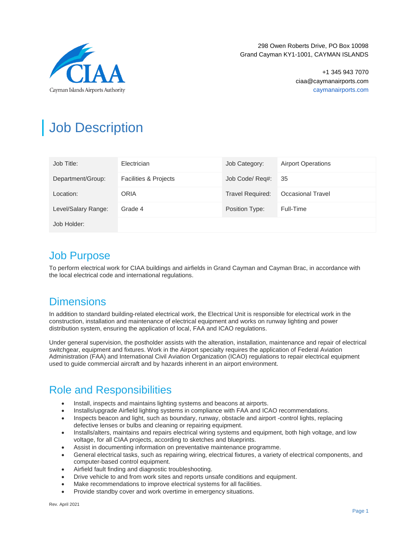

298 Owen Roberts Drive, PO Box 10098 Grand Cayman KY1-1001, CAYMAN ISLANDS

> +1 345 943 7070 ciaa@caymanairports.com caymanairports.com

# Job Description

| Job Title:          | Electrician                      | Job Category:           | <b>Airport Operations</b> |
|---------------------|----------------------------------|-------------------------|---------------------------|
| Department/Group:   | <b>Facilities &amp; Projects</b> | Job Code/ Req#:         | 35                        |
| Location:           | ORIA                             | <b>Travel Required:</b> | <b>Occasional Travel</b>  |
| Level/Salary Range: | Grade 4                          | Position Type:          | Full-Time                 |
| Job Holder:         |                                  |                         |                           |

### Job Purpose

To perform electrical work for CIAA buildings and airfields in Grand Cayman and Cayman Brac, in accordance with the local electrical code and international regulations.

## **Dimensions**

In addition to standard building-related electrical work, the Electrical Unit is responsible for electrical work in the construction, installation and maintenance of electrical equipment and works on runway lighting and power distribution system, ensuring the application of local, FAA and ICAO regulations.

Under general supervision, the postholder assists with the alteration, installation, maintenance and repair of electrical switchgear, equipment and fixtures. Work in the Airport specialty requires the application of Federal Aviation Administration (FAA) and International Civil Aviation Organization (ICAO) regulations to repair electrical equipment used to guide commercial aircraft and by hazards inherent in an airport environment.

## Role and Responsibilities

- Install, inspects and maintains lighting systems and beacons at airports.
- Installs/upgrade Airfield lighting systems in compliance with FAA and ICAO recommendations.
- Inspects beacon and light, such as boundary, runway, obstacle and airport -control lights, replacing defective lenses or bulbs and cleaning or repairing equipment.
- Installs/alters, maintains and repairs electrical wiring systems and equipment, both high voltage, and low voltage, for all CIAA projects, according to sketches and blueprints.
- Assist in documenting information on preventative maintenance programme.
- General electrical tasks, such as repairing wiring, electrical fixtures, a variety of electrical components, and computer-based control equipment.
- Airfield fault finding and diagnostic troubleshooting.
- Drive vehicle to and from work sites and reports unsafe conditions and equipment.
- Make recommendations to improve electrical systems for all facilities.
- Provide standby cover and work overtime in emergency situations.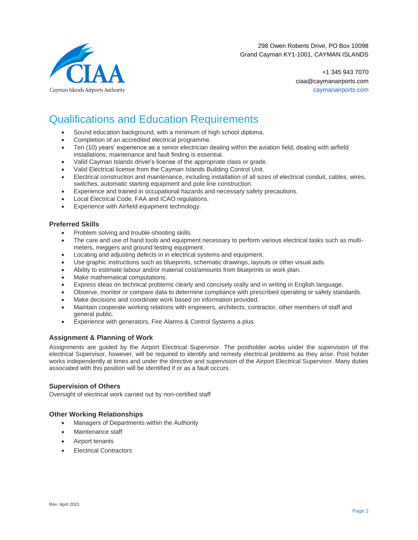

298 Owen Roberts Drive, PO Box 10098 Grand Cayman KY1-1001, CAYMAN ISLANDS

> +1 345 943 7070 ciaa@caymanairports.com caymanairports.com

# Qualifications and Education Requirements

- Sound education background, with a minimum of high school diploma.
- Completion of an accredited electrical programme.
- Ten (10) years' experience as a senior electrician dealing within the aviation field, dealing with airfield installations, maintenance and fault finding is essential.
- Valid Cayman Islands driver's license of the appropriate class or grade.
- Valid Electrical license from the Cayman Islands Building Control Unit.
- Electrical construction and maintenance, including installation of all sizes of electrical conduit, cables, wires, switches, automatic starting equipment and pole line construction.
- Experience and trained in occupational hazards and necessary safety precautions.
- Local Electrical Code, FAA and ICAO regulations.
- Experience with Airfield equipment technology.

#### **Preferred Skills**

- Problem solving and trouble-shooting skills.
- The care and use of hand tools and equipment necessary to perform various electrical tasks such as multimeters, meggers and ground testing equipment.
- Locating and adjusting defects in in electrical systems and equipment.
- Use graphic instructions such as blueprints, schematic drawings, layouts or other visual aids.
- Ability to estimate labour and/or material cost/amounts from blueprints or work plan.
- Make mathematical computations.
- Express ideas on technical problems clearly and concisely orally and in writing in English language.
- Observe, monitor or compare data to determine compliance with prescribed operating or safety standards.
- Make decisions and coordinate work based on information provided.
- Maintain cooperate working relations with engineers, architects, contractor, other members of staff and general public.
- Experience with generators, Fire Alarms & Control Systems a plus.

#### **Assignment & Planning of Work**

Assignments are guided by the Airport Electrical Supervisor. The postholder works under the supervision of the electrical Supervisor, however, will be required to identify and remedy electrical problems as they arise. Post holder works independently at times and under the directive and supervision of the Airport Electrical Supervisor. Many duties associated with this position will be identified if or as a fault occurs.

#### **Supervision of Others**

Oversight of electrical work carried out by non-certified staff

#### **Other Working Relationships**

- Managers of Departments within the Authority
- Maintenance staff
- Airport tenants
- **Electrical Contractors**